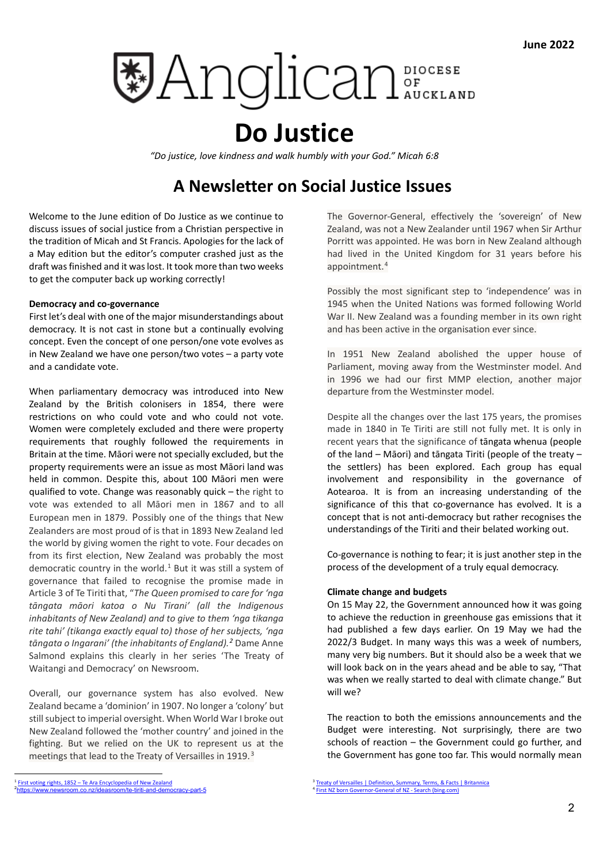# **DE Anglican**

# **Do Justice**

*"Do justice, love kindness and walk humbly with your God." Micah 6:8*

## **A Newsletter on Social Justice Issues**

Welcome to the June edition of Do Justice as we continue to discuss issues of social justice from a Christian perspective in the tradition of Micah and St Francis. Apologies for the lack of a May edition but the editor's computer crashed just as the draft was finished and it was lost. It took more than two weeks to get the computer back up working correctly!

#### **Democracy and co-governance**

First let's deal with one of the major misunderstandings about democracy. It is not cast in stone but a continually evolving concept. Even the concept of one person/one vote evolves as in New Zealand we have one person/two votes – a party vote and a candidate vote.

When parliamentary democracy was introduced into New Zealand by the British colonisers in 1854, there were restrictions on who could vote and who could not vote. Women were completely excluded and there were property requirements that roughly followed the requirements in Britain at the time. Māori were not specially excluded, but the property requirements were an issue as most Māori land was held in common. Despite this, about 100 Māori men were qualified to vote. Change was reasonably quick – the right to vote was extended to all Māori men in 1867 and to all European men in 1879. Possibly one of the things that New Zealanders are most proud of is that in 1893 New Zealand led the world by giving women the right to vote. Four decades on from its first election, New Zealand was probably the most democratic country in the world. $1$  But it was still a system of governance that failed to recognise the promise made in Article 3 of Te Tiriti that, "*The Queen promised to care for 'nga tāngata māori katoa o Nu Tirani' (all the Indigenous inhabitants of New Zealand) and to give to them 'nga tikanga rite tahi' (tikanga exactly equal to) those of her subjects, 'nga tāngata o Ingarani' (the inhabitants of England).[2](#page-0-1)* Dame Anne Salmond explains this clearly in her series 'The Treaty of Waitangi and Democracy' on Newsroom.

Overall, our governance system has also evolved. New Zealand became a 'dominion' in 1907. No longer a 'colony' but still subject to imperial oversight. When World War I broke out New Zealand followed the 'mother country' and joined in the fighting. But we relied on the UK to represent us at the meetings that lead to the Treaty of Versailles in 1919. [3](#page-0-0)

The Governor-General, effectively the 'sovereign' of New Zealand, was not a New Zealander until 1967 when Sir Arthur Porritt was appointed. He was born in New Zealand although had lived in the United Kingdom for 31 years before his appointment.[4](#page-0-1)

Possibly the most significant step to 'independence' was in 1945 when the United Nations was formed following World War II. New Zealand was a founding member in its own right and has been active in the organisation ever since.

In 1951 New Zealand abolished the upper house of Parliament, moving away from the Westminster model. And in 1996 we had our first MMP election, another major departure from the Westminster model.

Despite all the changes over the last 175 years, the promises made in 1840 in Te Tiriti are still not fully met. It is only in recent years that the significance of tāngata whenua (people of the land – Māori) and tāngata Tiriti (people of the treaty – the settlers) has been explored. Each group has equal involvement and responsibility in the governance of Aotearoa. It is from an increasing understanding of the significance of this that co-governance has evolved. It is a concept that is not anti-democracy but rather recognises the understandings of the Tiriti and their belated working out.

Co-governance is nothing to fear; it is just another step in the process of the development of a truly equal democracy.

### **Climate change and budgets**

On 15 May 22, the Government announced how it was going to achieve the reduction in greenhouse gas emissions that it had published a few days earlier. On 19 May we had the 2022/3 Budget. In many ways this was a week of numbers, many very big numbers. But it should also be a week that we will look back on in the years ahead and be able to say, "That was when we really started to deal with climate change." But will we?

The reaction to both the emissions announcements and the Budget were interesting. Not surprisingly, there are two schools of reaction – the Government could go further, and the Government has gone too far. This would normally mean

<span id="page-0-1"></span><span id="page-0-0"></span>First voting rights, 1852 – [Te Ara Encyclopedia of New Zealand](about:blank) 2 <https://www.newsroom.co.nz/ideasroom/te-tiriti-and-democracy-part-5>

<sup>2</sup> [Treaty of Versailles | Definition, Summary, Terms, & Facts | Britannica](about:blank) <sup>4</sup> First NZ [born Governor-General of NZ -](about:blank) Search (bing.com)